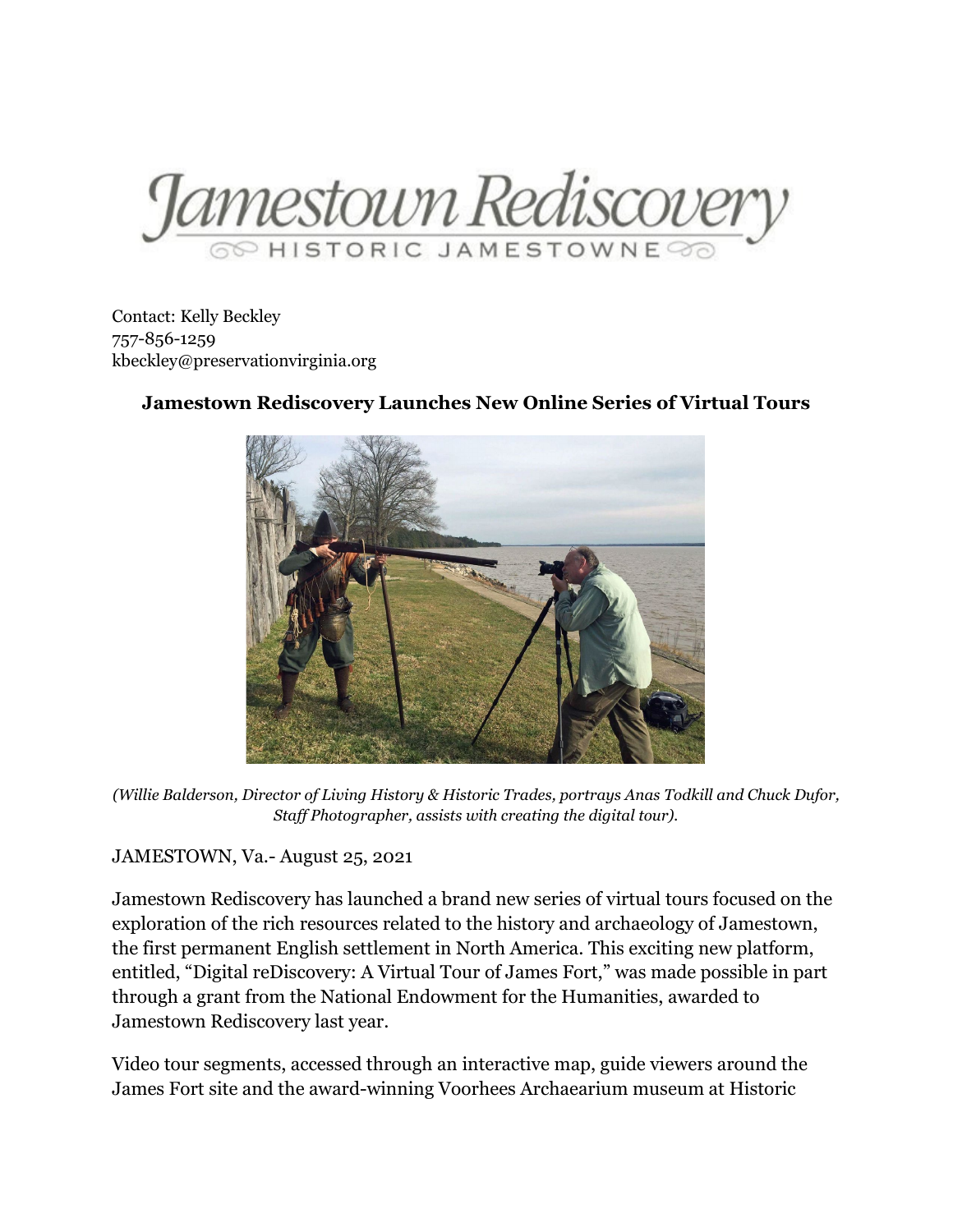Jamestown Rediscover

Contact: Kelly Beckley 757-856-1259 kbeckley@preservationvirginia.org

## **Jamestown Rediscovery Launches New Online Series of Virtual Tours**

*(Willie Balderson, Director of Living History & Historic Trades, portrays Anas Todkill and Chuck Dufor, Staff Photographer, assists with creating the digital tour).*

JAMESTOWN, Va.- August 25, 2021

Jamestown Rediscovery has launched a brand new series of virtual tours focused on the exploration of the rich resources related to the history and archaeology of Jamestown, the first permanent English settlement in North America. This exciting new platform, entitled, "Digital reDiscovery: A Virtual Tour of James Fort," was made possible in part through a grant from the National Endowment for the Humanities, awarded to Jamestown Rediscovery last year.

Video tour segments, accessed through an interactive map, guide viewers around the James Fort site and the award-winning Voorhees Archaearium museum at Historic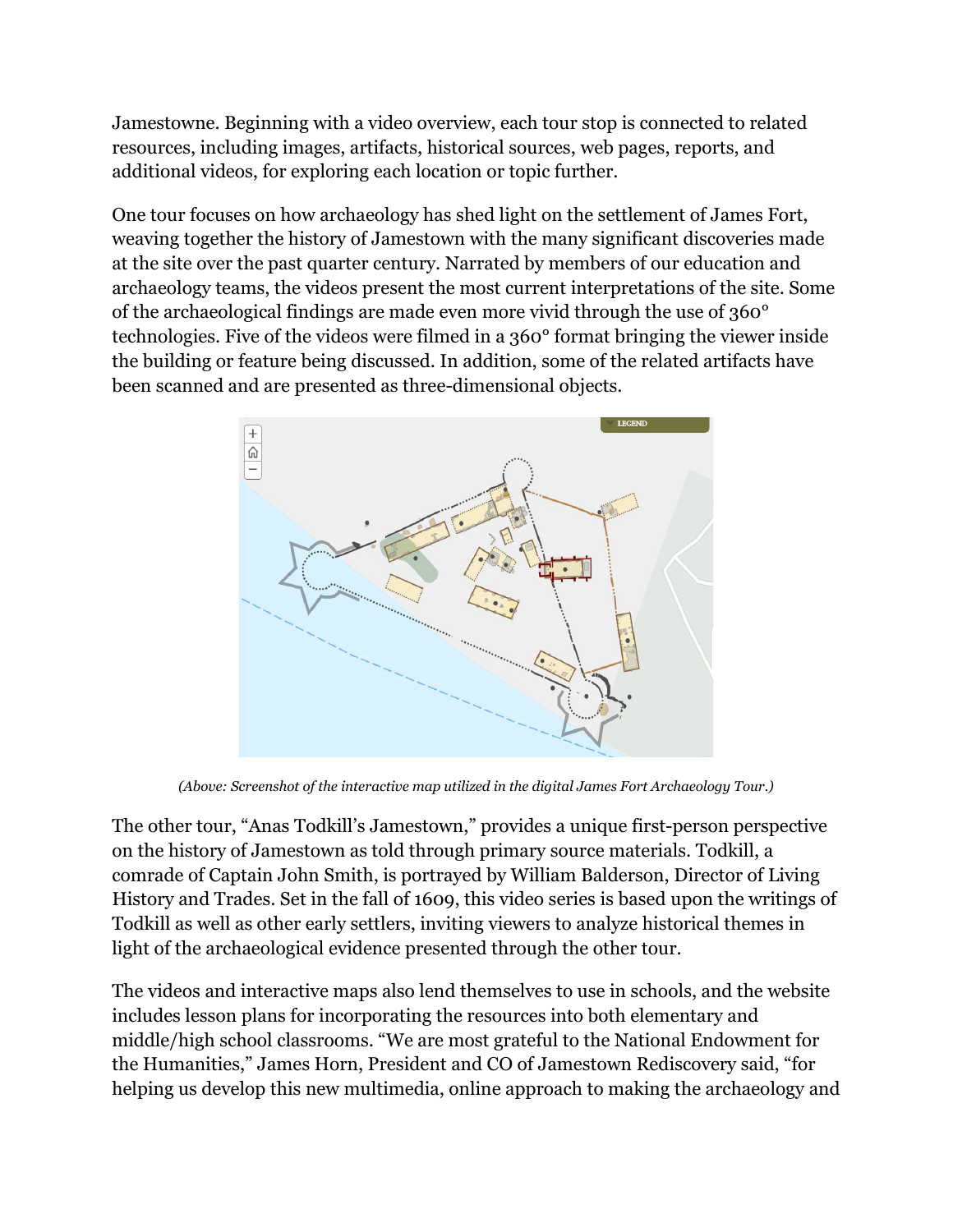Jamestowne. Beginning with a video overview, each tour stop is connected to related resources, including images, artifacts, historical sources, web pages, reports, and additional videos, for exploring each location or topic further.

One tour focuses on how archaeology has shed light on the settlement of James Fort, weaving together the history of Jamestown with the many significant discoveries made at the site over the past quarter century. Narrated by members of our education and archaeology teams, the videos present the most current interpretations of the site. Some of the archaeological findings are made even more vivid through the use of 360° technologies. Five of the videos were filmed in a 360° format bringing the viewer inside the building or feature being discussed. In addition, some of the related artifacts have been scanned and are presented as three-dimensional objects.



*(Above: Screenshot of the interactive map utilized in the digital James Fort Archaeology Tour.)*

The other tour, "Anas Todkill's Jamestown," provides a unique first-person perspective on the history of Jamestown as told through primary source materials. Todkill, a comrade of Captain John Smith, is portrayed by William Balderson, Director of Living History and Trades. Set in the fall of 1609, this video series is based upon the writings of Todkill as well as other early settlers, inviting viewers to analyze historical themes in light of the archaeological evidence presented through the other tour.

The videos and interactive maps also lend themselves to use in schools, and the website includes lesson plans for incorporating the resources into both elementary and middle/high school classrooms. "We are most grateful to the National Endowment for the Humanities," James Horn, President and CO of Jamestown Rediscovery said, "for helping us develop this new multimedia, online approach to making the archaeology and